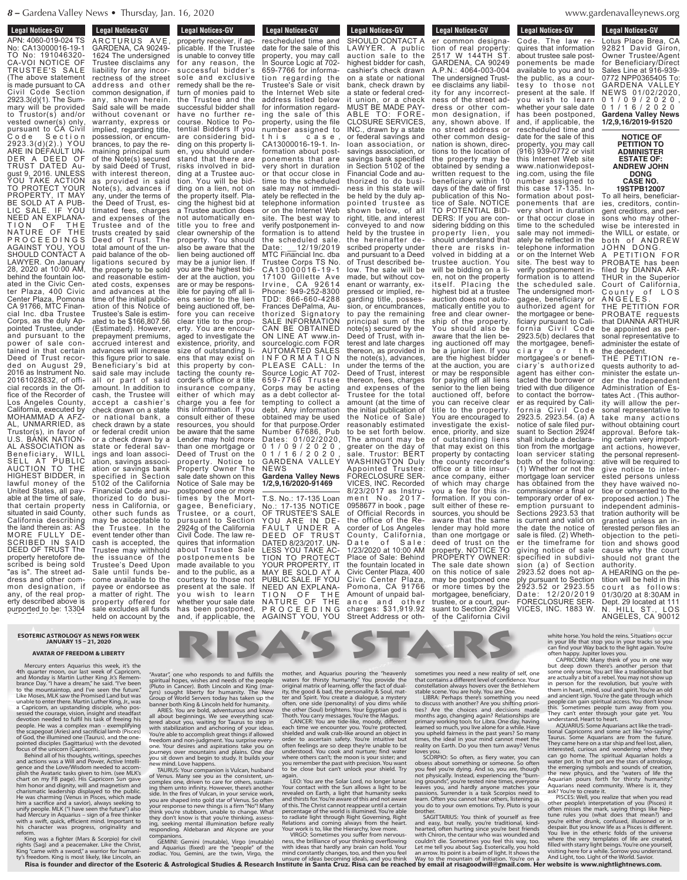**Legal Notices-GV** 

**Legal Nutries-GV** ARCTURUS AVE GARDENA, CA 90249- 1624 The undersigned

**Legal Notices-GV** APN: 4060-019-024 TS No: CA13000016-19-1 TO No: 191046320- CA-VOI NOTICE OF TRUSTEE'S SALE (The above statement is made pursuant to CA Civil Code Section 2923.3(d)(1). The Summary will be provided to Trustor(s) and/or vested owner(s) only, pursuant to CA Civil Code Section 2923.3(d)(2).) YOU ARE IN DEFAULT UN-DER A DEED OF TRUST DATED August 9, 2016. UNLESS YOU TAKE ACTION TO PROTECT YOUR PROPERTY, IT MAY BE SOLD AT A PUB-LIC SALE. IF YOU NEED AN EXPLANA-TION OF THE NATURE OF THE P R O C E E D I N G S AGAINST YOU, YOU SHOULD CONTACT A LAWYER. On January 28, 2020 at 10:00 AM, behind the fountain located in the Civic Center Plaza, 400 Civic Center Plaza, Pomona CA 91766, MTC Financial Inc. dba Trustee Corps, as the duly Appointed Trustee, under and pursuant to the power of sale contained in that certain Deed of Trust recorded on August 29, 2016 as Instrument No. 20161028832, of official records in the Office of the Recorder of<br>Los Angeles County, Los Angeles County, California, executed by MOHAMMAD A AFZ-AL, UNMARRIED, as Trustor(s), in favor of U.S. BANK NATION-AL ASSOCIATION as Beneficiary, WILL SELL AT PUBLIC AUCTION TO THE HIGHEST BIDDER, in lawful money of the United States, all payable at the time of sale, that certain property situated in said County, California describing the land therein as: AS MORE FULLY DE-SCRIBED IN SAID DEED OF TRUST The property heretofore described is being sold "as is". The street address and other common designation, if any, of the real property described above is purported to be: 13304

for any reason, the successful bidder's sole and exclusive remedy shall be the return of monies paid to the Trustee and the successful bidder shall have no further recourse. Notice to Potential Bidders If you are considering bidding on this property lien, you should understand that there are risks involved in bidding at a Trustee auction. You will be bidding on a lien, not on the property itself. Placing the highest bid at a Trustee auction does not automatically entitle you to free and clear ownership of the property. You should also be aware that the lien being auctioned off may be a junior lien. If you are the highest bidder at the auction, you are or may be responsible for paying off all liens senior to the lien being auctioned off, before you can receive clear title to the property. You are encouraged to investigate the existence, priority, and size of outstanding liens that may exist on this property by contacting the county recorder's office or a title insurance company, either of which may charge you a fee for this information. If you consult either of these resources, you should be aware that the same Lender may hold more than one mortgage or Deed of Trust on the property. Notice to Property Owner The sale date shown on this Notice of Sale may be<br>postponed one or more postponed one or more times by the Mortgagee, Beneficiary, Trustee, or a court, pursuant to Section 2924g of the California Civil Code. The law requires that information about Trustee Sale postponements be made available to you and to the public, as a courtesy to those not present at the sale. If you wish to learn Trustee disclaims any liability for any incorrectness of the street address and other common designation, if any, shown herein. Said sale will be made without covenant or warranty, express or implied, regarding title, possession, or encumbrances, to pay the remaining principal sum of the Note(s) secured by said Deed of Trust, with interest thereon. as provided in said Note(s), advances if any, under the terms of the Deed of Trust, estimated fees, charges and expenses of the Trustee and of the trusts created by said Deed of Trust. The total amount of the unpaid balance of the obligations secured by the property to be sold and reasonable estimated costs, expenses and advances at the time of the initial publication of this Notice of Trustee's Sale is estimated to be \$166,807.56 (Estimated). However, prepayment premiums, accrued interest and advances will increase this figure prior to sale. Beneficiary's bid at said sale may include all or part of said amount. In addition to cash, the Trustee will accept a cashier's check drawn on a state or national bank, a check drawn by a state or federal credit union or a check drawn by a state or federal sayings and loan association, savings association or savings bank specified in Section 5102 of the California Financial Code and authorized to do business in California, or other such funds as may be acceptable to the Trustee. In the event tender other than cash is accepted, the Trustee may withhold the issuance of the Trustee's Deed Upon Sale until funds become available to the payee or endorsee as a matter of right. The

### $\rho$  is the Trustee of the Trustee of the Trustee of the Trustee of the Trustee of the Trustee of the Trustee of the Trustee of the Trustee of the Trustee of the Trustee of the Trustee of the Trustee of the Trustee of the is unable to convert the convert of the convert of the convert of the convert of the convert of the convert of<br>intervals the convert of the convert of the convert of the convert of the convert of the convert of the conver<br> TEOTEDIC ACTROLOGY ESOTERIC ASTROLOGY AS NEWS FOR WEEK<br>JANUARY 15 – 21, 2020

# **SUCCESSFUL BIDDERTY AVATAR OF FREEDOM & LIBERTY**

sole and exclusive this week, it's the<br>veak of Canticorn week of capficom, "Avatar",<br>r King Jr's Rememhe said. "I've been spiritual  $\frac{1}{2}$  seen the future.  $\frac{1}{2}$  tyrs) so hised Land but was Group c  $\frac{1}{x}$  currel King,  $\frac{1}{x}$ ,  $\frac{1}{x}$ ,  $\frac{1}{x}$  anner  $t$  also  $\mu$ <sub>the</sub>  $\mu$   $\mu$  and steadfast  $\mu$  and  $\mu$ task of freeing his  $\frac{du}{\pi}$ people. He was a complex man - exemplifying tered at<br>the scapegoat (Aries) and sacrificial lamb (Pisces) vou'n sta the scapegoat (Aries) and sacrificial lamb (Pisces) You're a<br>of God, the illumined one (Taurus), and the oneby stad, the mannifed one (Tradita), and the one treedom pointed disciples (Sagittarius) with the devoted rn). One for<br>iourney address and other Mercury enters Aquari<br>clustor moon our la any quarter filloon, but last brance Day. "I have a drea to the mountaintop, and Like Moses, MLK saw the Pi uilable to eriter title, wart<br>a Capricorn, an unstanding sessed the courage, vision, devotion needed to fulfil focus of the unicorn (Capri Mercury enters Aquarius this week, it's the<br>4th quarter moon, our last week of Capricorn,<br>and Monday is Martin Luther King Jr's Remem-<br>brance Day. "I have a dream," he said. "I've been<br>to the mountaintop, and I've seen the a Capricorn, an upstanding disciple, who pos-sessed the courage, vision, insight and steadfast devotion needed to fulfil his task of freeing his

writings, speeches  $\frac{1}{2}$  you sit a but well be dealer to accomrecedure to decentry<br>to him. (see MLK's of Venu<br>apricorn Sun gave complex<br>not only the highest iyed to the public.<br>Riscos which made stide. In notes, which made you are<br>always seeking to en the future") also your res an of a free thinker they do nind. Important to<br>see originality, and ing, see s, originality and respond Behind all of his though and actions was a will and<br>gence and the Love/Wisdo<br>plish the Avataric tasks giv<br>chart on my FB page). His him honor and dignity, wil charismatic leadership dis<br>Ho was charming (Vopus i The was chaming (venus in unify people. MLK ("I have had Mercury in Aquarius with a swift, quick, efficier<br>his sharaster, was progr nis character was progi<br>reform. focus of the unicorn (Capricorn).<br>
Behind all of his thoughts, writings, speeches<br>
Behind all of his thoughts, writings, speeches<br>
and actions was a Will and Power, Active Intelli-<br>
gence and the Love/Wisdom needed to acco

8 Scorpio) for civil compan er. Like the Christ, and Ag varrior for humani-<br>aby like Lincoln and Zodiac. ely, like Liftcom, different and the English P king was a fighter (Ma rights (Sag) and a peacen rights (Sag) and a peacemaker. Like the Christ,<br>King "came with a sword," a warrior for humani-<br>ty's freedom. King is most likely, like Lincoln, an Ly's reed contribution is most King was a fighter (Mars & Scorpio) for civil

and a new street and advances and a the theorem and a the theorem in the theorem in the theorem in the theorem

LAWYER. A public **A'S** on a state of the  $\mathbf{b}$ the mother, and Aquariu<br>crels unators for thirsty bu ople waters for triffsty fluit<br>mar- original matrix of learr whether your sale date has been postponed, and, if applicable, the rescheduled time and date for the sale of this 139-776 tion regarding the "Avatar", one who responds to and fulfills the ne who responds to and full ppes, wisnes and needs of the<br>`ancer). Both Lincoln and Kin property offered for sale excludes all funds held on account by the

Must be made to be made the manner.  $b$  the  $\quad$  ter and Spirit. You cre ity. often, one side (perso<br>the other (Soul) bright now the other (30ui) bright<br>scat. Thoth You carry mess: or federal savigations and the same state in the same state of the same state in the same state in the same st<br>Scale in the CANCER: You are t leas. each time we encoun wed shielded and walk cral ancer). Bour Enformation rule Vorld Servers today has taken th King & Lincoln held for hum<br>. ou are bold, adventurous and<br>coginnings. We see eventhin beginnings. We see everythin<br>it vou, waiting for Taurus to ization and anchoring of you to accomplish great things if a nd non-judgment. You surprise<br>desires and aspirations take "Avatar", one who responds to and fulfills the<br>spiritual hopes, wishes and needs of the people<br>filtuto in Cancer). Both Lincoln and King (mar-<br>tyrs) sought liberty for humanity. The New<br>Group of World Servers today has tak

ery- order to ascertain sa<br>concentre feelings are so c day understood. You cook your where others can't; the you remember the pas oand to be close but can't<br>una sosin desires and aspirations take<br>wer mountains and plains O or the anticipate in the plants. Love happens. s: Your companion is Vulcan, h<br>Many see you as the consiste you sit down and begin to study. It builds your new mind. Love happens. TAURUS: Your companion is Vulcan, husband of Venus. Many see you as the consistent, un-complex one, driven to care for others, sustain-

be held by the duly and the duly the duly the duly application.<br>
pointed by the during the during term of a line of a line during the during term of the during term of the du<br>
points of a line of the during term of the dur ften and thirsts for. You're a<br>Assume f this The Christ cann viariy see you as the consiste<br>ne driven to care for others the, anvent to care for others, fires of Vulcan, in your servic aped into gold star of Venus. S nse to new things is a firm "No<br>ne stubborn, unable to change e stabborn, anable to change g mental illumination before ). Aldebaran and Alcyone ai ing them unto infinity. However, there's another<br>side. In the fires of Vulcan, in your service work,<br>you are shaped into gold star of Venus. So often<br>you response to new things is a firm "No"! Many<br>think you're stubborn, u

u, Gemini, are the twin, Vir

hany to unstructurist canno<br>What the noncentage of the wor held by the trustees to radiate light through eally Relations and coming your Your work is to, like the<br>MBCO: Somotimes vingo: sometimes<br>able) ness the brilliance of v  $\frac{1}{2}$  the with ideas that hardly the mind constantly chang unsure of ideas becon<br>Anglicula in Santa Cu  $\alpha$  ch msutute in Jama Ci 1S.<br>Gemini (mutable) Virge (m germin (mutable), virgo (mutable).<br>Trus (fixed) are the "people" ntualogical Ctudios & Res  $\frac{1}{2}$  if original studies  $\alpha$  here  $r_{\text{e}}$  are  $r_{\text{e}}$  are  $r_{\text{e}}$  are responsible to  $r_{\text{e}}$ ing, seeking mental illumination before really<br>responding. Aldebaran and Alcyone are your<br>companions.<br>GEMINI: Gemini (mutable), Virgo (mutable)<br>and Aquarius (fixed) are the "people" of the<br>zodiac. You, Gemini, are the twin

rescheduled time and date for the sale of this property, you may call In Source Logic at 702- 659-7766 for information regarding the Trustee's Sale or visit the Internet Web site address listed below for information regarding the sale of this property, using the file number assigned to this case, CA13000016-19-1. Information about postponements that are very short in duration or that occur close in time to the scheduled sale may not immediately be reflected in the telephone information or on the Internet Web site. The best way to verify postponement information is to attend the scheduled sale.<br>Date: 12/19/2019 Date: \_\_12/19/2019 MTC Financial Inc. dba Trustee Corps TS No. C A1 3 0 0 0 0 1 6 - 1 9 - 1 17100 Gillette Ave Ir v i n e , C A 9 2 6 1 4 Phone: 949-252-8300 TDD: 866-660-4288 Frances DePalma, Authorized Signatory SALE INFORMATION CAN BE OBTAINED ON LINE AT www.insourcelogic.com FOR AUTOMATED SALES I N F O R M A T I O N PLEASE CALL: In Source Logic AT 702- 659–7766 Trustee Corps may be acting as a debt collector attempting to collect a debt. Any information obtained may be used for that purpose.Order Number 67686, Pub Dates: 01/02/2020, 0 1 / 0 9 / 2 0 2 0 , 0 1 / 1 6 / 2 0 2 0 , GARDENA VALLEY NEWS **Gardena Valley News 1/2,9,16/2020-91469**

**Legal Notices-GV Legal Nutiles-dv** 

**Legal Notices-GV** 

**Legal Nutiles-GV** property receiver, if applicable. If the Trustee is unable to convey title<br>for any reason the

> T.S. No.: 17-135 Loan No.: 17-135 NOTICE OF TRUSTEE'S SALE YOU ARE IN DE-FAULT UNDER A DEED OF TRUST DATED 8/23/2017. UN-LESS YOU TAKE AC-TION TO PROTECT YOUR PROPERTY, IT MAY BE SOLD AT A PUBLIC SALE. IF YOU NEED AN EXPLANA-TION OF THE NATURE OF THE P R O C E E D I N G AGAINST YOU, YOU

> > aga

**Legal Notices-GV** Legal Nutrices-GV SHOULD CONTACT A LAWYER. A public auction sale to the highest bidder for cash, cashier's check drawn on a state or national bank, check drawn by a state or federal credit union, or a check MUST BE MADE PAY-ABLE TO: FORE-CLOSURE SERVICES, INC., drawn by a state or federal savings and loan association, or savings association, or savings bank specified in Section 5102 of the Financial Code and authorized to do business in this state will be held by the duly appointed trustee as shown below, of all right, title, and interest conveyed to and now held by the trustee in the hereinafter described property under and pursuant to a Deed of Trust described below. The sale will be made, but without covenant or warranty, expressed or implied, regarding title, possession, or encumbrances, to pay the remaining principal sum of the note(s) secured by the Deed of Trust, with interest and late charges thereon, as provided in the note(s), advances, under the terms of the Deed of Trust, interest thereon, fees, charges and expenses of the Trustee for the total amount (at the time of the initial publication of the Notice of Sale) reasonably estimated to be set forth below. The amount may be greater on the day of sale. Trustor: BERT WASHINGTON Duly Appointed Trustee: FORECLOSURE SER-VICES, INC. Recorded 8/23/2017 as Instrument No. 2017-0958677 in book , page of Official Records in the office of the Recorder of Los Angeles County, Cal ifornia, Date of Sale: 1/23/2020 at 10:00 AM Place of Sale: Behind the fountain located in Civic Center Plaza, 400 Civic Center Plaza, Pomona, CA 91766 Amount of unpaid balance and other

charges: \$31,919.92 Street Address or oth-

 $\frac{1}{2}$  ness of the street and the street and the street and the street and the street and the street and the street and the street and the street and the street and the street and the street and the street and the stre

ani.<br>LEO: You are the Solar Lord, no longer lunar

LEO: You are the Solar Lord, no longer lunar.<br>Your contact with the Sun allows a light to be<br>revealed on Earth, a light that humanity seeks<br>and thirsts for. You're aware of this and not aware<br>of this. The Christ cannot rea

you remember the past with precision. You want to be close but can't unlock your shield. Try

tion of real property: 2517 W 144TH ST. GARDENA, CA 90249 A.P.N.: 4064-003-004 The undersigned Trustee disclaims any liability for any incorrectness of the street address or other common designation, if any, shown above. If no street address or other common designation is shown, directions to the location of the property may be obtained by sending a written request to the beneficiary within 10 days of the date of first publication of this Notice of Sale. NOTICE TO POTENTIAL BID-DERS: If you are considering bidding on this property lien, you should understand that there are risks involved in bidding at a trustee auction. You will be bidding on a lien, not on the property itself. Placing the highest bid at a trustee auction does not automatically entitle you to free and clear ownership of the property. You should also be aware that the lien being auctioned off may be a junior lien. If you are the highest bidder at the auction, you are or may be responsible for paying off all liens senior to the lien being auctioned off, before you can receive clear title to the property. You are encouraged to investigate the existence, priority, and size of outstanding liens that may exist on this property by contacting the county recorder's office or a title insurance company, either of which may charge you a fee for this information. If you consult either of these resources, you should be aware that the same lender may hold more than one mortgage or deed of trust on the property. NOTICE TO PROPERTY OWNER: The sale date shown on this notice of sale may be postponed one or more times by the mortgagee, beneficiary, trustee, or a court, pursuant to Section 2924g

### denavalleynews.org  $\frac{1}{2}$  a t extending the state  $\frac{1}{2}$ mortgage. beneficiary, beneficiary, beneficiary,  $\alpha$  $\ldots \ldots$ <sub>p</sub>

**Legal Notices-GV** Legal Nutrices-GV Lotus Place Brea, CA 92821 David Giron, Owner Trustee/Agent for Beneficiary/Direct Sales Line at 916-939-0772 NPP0365405 To: GARDENA VALLEY NEWS 01/02/2020, 0 1 / 0 9 / 2 0 2 0 , 0 1 / 1 6 / 2 0 2 0 **Gardena Valley News 1/2,9,16/2019-91520**

**NOTICE OF PETITION TO ADMINISTER ESTATE OF: ANDREW JOHN DONG CASE NO. 19STPB12007**

To all heirs, beneficiaries, creditors, contingent creditors, and persons who may otherwise be interested in the WILL or estate, or both of ANDREW JOHN DONG. A PETITION FOR A PETITION<br>PROBATE has been filed by DIANNA AR-THUR in the Superior Court of California, County of LOS A N G E L E S .

THE PETITION FOR PROBATE requests that DIANNA ARTHUR be appointed as personal representative to administer the estate of the decedent.

THE PETITION requests authority to administer the estate under the Independent Administration of Estates Act . (This authority will allow the personal representative to take many actions without obtaining court approval. Before taking certain very important actions, however the personal representative will be required to give notice to interested persons unless they have waived notice or consented to the proposed action.) The independent administration authority will be granted unless an interested person files an objection to the petition and shows good cause why the court should not grant the authority.

A HEARING on the petition will be held in this court as follows: 01/30/20 at 8:30AM in Dept. 29 located at 111 N. HILL ST., LOS ANGELES, CA 90012

 $\theta$  the roing  $\mathsf{C}$  the period of the period of the period of the period of the period of the period of the period of the period of the period of the period of the period of the period of the period of the period of t

*y* you in your tracks so you<br>by you in your tracks so you<br>doves you. y think of you in one way white horse, rou h<br>
in your life that st<br>
can find your Way<br>
often happy, Jupit CAPRICORN: M but deep down<br>Some only sense \ imes you need a new reality<br>intains a different lovel of confi

ere's another person that<br>Lact like a traditionalist but ract like a traditionalist bat<br>rebel. You may not show up evolution, but you're with soul and spirit. You're an ol I're the gate through which<br>tual access. You don't know tual access. Tou don't know<br>ople turn away from you. this. Sometimes people turn away from you.<br>They can't enter through your gate yet. You derstand. Heart to heart.<br>AQUARIUS: Some Aquarians act like the tradiself, one some only sense. the lead in person for the them in heart, min ou need and ancient sig white horse. You hold the reins. Situations occur<br>in your life that stop you in your Tacks so you<br>can find your Way back to the light again. You're<br>often happy. Jupiter loves you.<br>The presence of the property of the polyto understand. Heart to heart.

Aquarians act like the tradi-<br>d.como.act.like "no.caving" a some act like no-saying<br>fians are from the future. the personal representation. ind wondering when they spiritual Aquarian holds a<br>t.are.the.ctare.of.actrology t are the stars or astrology,<br>ils and sounds of creation months after beating of electron, th for thirsty humanity." nmunity. Where is it, they<br>.. IL.<br>replize that when you read Taurus. Some Aquarian are act like "no-saying"<br>They came here on a star ship and feel lost, alien, They came here on a star ship and feel lost, alien,<br>interested, curious and wondering when they can go home. The spiritual

reanze that when you read<br>pretation of you (Pisces) it rk, saying things like Nepat does that mean?) and confused, illusioned or in<br>Mark as a Pisces is different which as an iscess is different.<br>eric folds of the universe plates of life are created, beings. You're one yourself, ile. Sorrow you understand.<br>of the World, Savier or the woma.*sa*<br>i**dhtlidhtnow** 

igning innews.com.

Owner Trustee/Agent  $\sim$   $\sim$   $\sim$ available to you the public, as a courtes y to those not tion of real property: **517** The unit of the unit of the unit of the unit of the unit of the unit of the unit of the unit of the unit of the unit of the unit of the unit of the unit of the unit of the unit of the unit of the unit of the unit of the un ee disclaims any liabilouring the "heavenly som<br>nity" You provide the that **JANUARY 15 – 21, 2020**<br> **JANUARY 15 – 21, 2020**<br> **JANUARY 15 – 21, 2020**<br> **JANUARY 15 – 21, 2020**<br> **JANUARY 15 – 21, 2020**<br> **CAPRICORN: Many think of you in one way**<br>
often happy. Upiter loves you.<br>
CAPRICORN: Many think mother, and Aquarius pouring the "heavenly<br>waters for thirsty humanity." You provide the<br>original matrix of learning, offer the fact of dual-<br>ity, the good & bad, the personality & Soul, mat-<br>ter and Spirit. You create a d

intains a unierent level or comi<br>Ilation always hovers over the

of the California Civil

watter analys no response the RA: Perhaps there's something uss with another? Are you shi Rre the choices and decis<br>is and changing again? Relati b ago, changing again: helati<br>y working tools for Libra. One  $\acute{\mathrm{d}}$  so much, you live alone for a held fairness in the past year<br>Also ideal in verwasing times, the ideal in your mind cannot meet the<br>reality on Earth. Do you then turn away? Venus on Lardi. Do you dien tani a<br>ou. g, oner the race of didn't com-<br>bersonality & Soul, matmon dialogue, a mystery l  $\lim_{\epsilon \to 0}$  of you dims while  $\quad$  to c s. four Egyptian god is ... ties<br>street and monomer and monomer of the magas. Then<br>--like, moody, different prin you. You're protected, lear ke around an object in you y. You're intuitive but time<br>in they're unable to be treal p they're unlable to be called<br>nd nurture: find water love sometimes you need a new reality of self, one<br>that contains a different level of confidence. Your constellation always hovers over the Bethlehem<br>stable scene. You are holy. You are One.<br>LIBRA: Perhaps there's something you

DRPIO: So often, as fiery wat about something or someor el you're dying. And so, you<br>iysically. Instead, experiencing<br>punds" vou're tested nine time you, and hardly anyone ma ns. Surrender is a task Scorpi Often you cannot hear others,<br>Lie vour over emetions Try B rito your own emotions. Hy. P<br>r noon is your sister; and ith precision. You want obs nlock your shield. Iry you<br>not In allows a light to be leave it that humanity seeks pas re of this and not aware lear<br>reappear until a cortain lucu reappear until a certain — you<br>is illumined You're able — brot loves you.<br>SCORPIO: So often, as fiery water, you can<br>obsess about something or someone. So often<br>you feel you're dying. And so, you are, though<br>not physically. Instead, experiencing the "burn-<br>ing grounds", you're tested you do to your own emotions. Try. Pluto is your brother.

..<br>siTTARIUS: You think of your asy, but really, you're traditi d, often hurting since you're l<br>hiren the contermation wear niron, the centaur who was wo<br>It die Sometimes vou feel th tell you about Saq. Esoterical w. Its point is a beam of light. I o the mountain of Initiation.<br>mail at ricessedwill@sms  $\mathfrak m$ al risagoodwin $\mathfrak E$ gma property is in the series of the series of the series of the series of the series of the series of the series lways from the heart. and ierarchy, love more. hea u suiter from nervous- with<br>ir thinking overflowing - cou trustee averse wind to the authority of the trust of the trust of the trust of the trust of the trust of the t<br>My brain can hold. Your Let , too, and then you feel  $\quad$  an a g ideals, and you think Way<br>Clien can be reached by i. Filsa can be reached by Mercury in Aquaris Sackson and Covering, Right SAGITTARIUS: You think of yourself as free time runs, confused, illusioned the sy don't know is that you're thinking, assessing that when they don't know is that you're thinki

**Legal Notices-GV Edgar Nutrices-GV** 

er common designa-

**Legal Notices-GV** Legal Nutles-GV Code. The law requires that information about trustee sale postponements be made available to you and to the public, as a courtesy to those not present at the sale. If you wish to learn whether your sale date has been postponed, and, if applicable, the rescheduled time and date for the sale of this property, you may call (916) 939-0772 or visit this Internet Web site www.nationwideposting.com, using the file number assigned to

this case 17-135. Information about postponements that are very short in duration or that occur close in time to the scheduled sale may not immediately be reflected in the telephone information or on the Internet Web site. The best way to verify postponement information is to attend the scheduled sale. The undersigned mortgagee, beneficiary or authorized agent for the mortgagee or beneficiary pursuant to California Civil Code 2923.5(b) declares that the mortgagee, benefi-<br>c i a r y o r t h e ciary or the mortgagee's or beneficiary's authorized agent has either contacted the borrower or tried with due diligence to contact the borrower as required by California Civil Code 2923.5. 2923.54. (a) A notice of sale filed pursuant to Section 2924f shall include a declaration from the mortgage loan servicer stating both of the following: (1) Whether or not the mortgage loan servicer has obtained from the commissioner a final or temporary order of exemption pursuant to Sections 2923.53 that is current and valid on the date the notice of sale is filed. (2) Whether the timeframe for giving notice of sale specified in subdivision (a) of Section 2923.52 does not apply pursuant to Section 2923.52 or 2923.55 Date: 12/20/2019 FORECLOSURE SER-VICES, INC. 1883 W.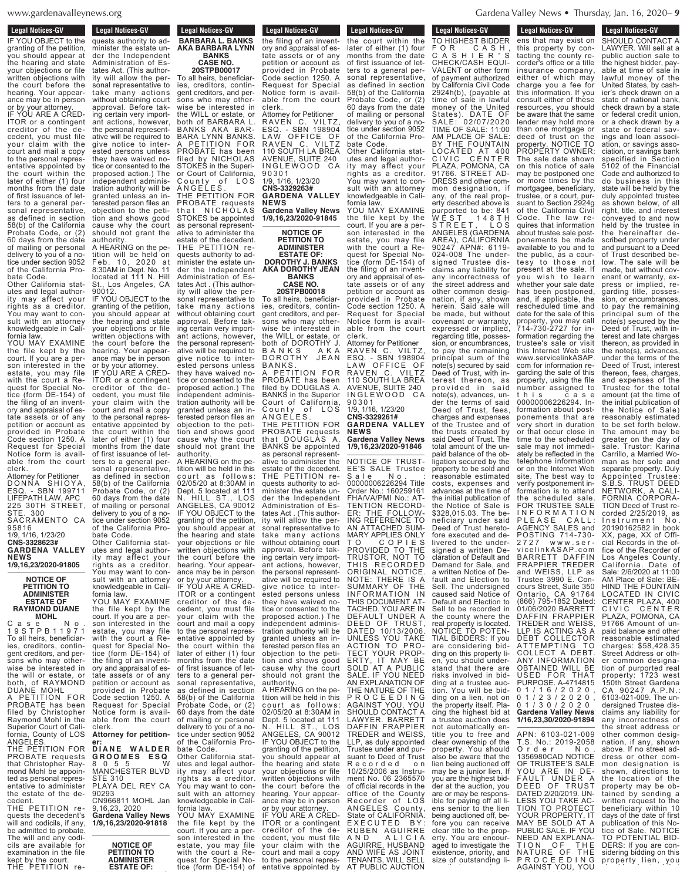$e^{i\omega}$ s are available for a value  $e^{i\omega}$  $\sum_{i=1}^{n}$ www.gardenavalley  $\ldots$   $\ldots$   $\ldots$   $\ldots$   $\ldots$   $\ldots$   $\ldots$   $\ldots$   $\ldots$   $\ldots$   $\ldots$   $\ldots$   $\ldots$   $\ldots$   $\ldots$   $\ldots$   $\ldots$   $\ldots$   $\ldots$   $\ldots$   $\ldots$   $\ldots$   $\ldots$   $\ldots$   $\ldots$   $\ldots$   $\ldots$   $\ldots$   $\ldots$   $\ldots$   $\ldots$   $\ldots$   $\ldots$   $\ldots$   $\ldots$   $\ldots$   $\ldots$ 

# **Legal Notices-GV**

Legal Nutles-GV IF YOU OBJECT to the granting of the petition, you should appear at the hearing and state your objections or file written objections with the court before the hearing. Your appearance may be in person or by your attorney.

IF YOU ARE A CRED-ITOR or a contingent creditor of the decedent, you must file your claim with the court and mail a copy to the personal representative appointed by the court within the later of either (1) four months from the date of first issuance of letters to a general personal representative, as defined in section 58(b) of the California Probate Code, or (2) 60 days from the date of mailing or personal delivery to you of a notice under section 9052 of the California Probate Code.

Other California statutes and legal authority may affect your rights as a creditor. You may want to consult with an attorney knowledgeable in California law.

90012.

YOU MAY EXAMINE the file kept by the court. If you are a person interested in the estate, you may file with the court a Request for Special Notice (form DE-154) of the filing of an inventory and appraisal of estate assets or of any petition or account as provided in Probate Code section 1250. A Request for Special Notice form is available from the court

clerk. Attorney for Petitioner<br>DONNA SHIOY DONNA SHIOYA<br>ESQ - SBN 199711 - SBN 199711 LIFEPATH LAW, APC 225 30TH STREET, STE. 300 SACRAMENTO CA 95816 1/9, 1/16, 1/23/20

**CNS-3328623# GARDENA VALLEY NEWS 1/9,16,23/2020-91805**

## **NOTICE OF PETITION TO ADMINISTER ESTATE OF RAYMOND DUANE MOHL**

Case No. 1 9 S T P B 1 1 9 7 1 To all heirs, beneficiaries, creditors, contingent creditors, and persons who may other-<br>wise be interested in be interested in the will or estate, or both, of RAYMOND DUANE MOHL A PETITION FOR PROBATE has been filed by Christopher Raymond Mohl in the Superior Court of California, County of LOS ANGELES. THE PETITION FOR PROBATE requests

that Christopher Raymond Mohl be appointed as personal representative to administer the estate of the decedent.

THE PETITION requests the decedent's will and codicils, if any, be admitted to probate. The will and any codicils are available for examination in the file kept by the court.

THE PETITION re-

**Legal Notices-GV ADMINISTER** sons who may otherwise be interested in the WILL or estate, or both of BARBARA L. BANKS AKA BAR-BARA LYNN BANKS. A PETITION FOR **Legal Notices-GV Legal Nutiles-GV** quests authority to administer the estate under the Independent Administration of Estates Act. (This authority will allow the personal representative to take many actions without obtaining court approval. Before taking certain very important actions, however the personal representative will be required to give notice to interested persons unless they have waived notice or consented to the proposed action.) The independent administration authority will be granted unless an interested person files an objection to the petition and shows good cause why the court should not grant the authority. A HEARING on the petition will be held on Feb. 10, 2020 at

PROBATE has been filed by NICHOLAS STOKES in the Superior Court of California, County of LOS A N G E L E S . THE PETITION FOR PROBATE requests that NICHOLAS STOKES be appointed as personal representative to administer the estate of the decedent. THE PETITION requests authority to administer the estate under the Independent Administration of Estates Act . (This authority will allow the personal representative to take many actions without obtaining court approval. Before taking certain very important actions, however, the personal representative will be required to give notice to interested persons unless they have waived notice or consented to the proposed action.) The independent administration authority will be granted unless an interested person files an objection to the peti-8:30AM in Dept. No. 11 located at 111 N. Hill St., Los Angeles, CA YOU OBJECT to the granting of the petition, you should appear at the hearing and state your objections or file written objections with the court before the hearing. Your appearance may be in person or by your attorney. IF YOU ARE A CRED-ITOR or a contingent creditor of the decedent, you must file your claim with the court and mail a copy to the personal representative appointed by

tion and shows good cause why the court should not grant the authority. A HEARING on the petition will be held in this court as follows: 02/05/20 at 8:30AM in Dept. 5 located at 111 N. HILL ST., LOS ANGELES, CA 90012 IF YOU OBJECT to the granting of the petition, you should appear at the hearing and state your objections or file written objections with the court before the the court within the later of either (1) four months from the date of first issuance of letters to a general personal representative, as defined in section 58(b) of the California Probate Code, or (2) 60 days from the date of mailing or personal delivery to you of a notice under section 9052 of the California Probate Code. Other California statutes and legal author-

hearing. Your appearance may be in person or by your attorney. IF YOU ARE A CRED-ITOR or a contingent creditor of the decedent, you must file your claim with the court and mail a copy to the personal representative appointed by the court within the later of either (1) four months from the date of first issuance of letters to a general personal representative, as defined in section 58(b) of the California Probate Code, or (2) 60 days from the date of mailing or personal delivery to you of a notice under section 9052 of the California Proity may affect your rights as a creditor. You may want to consult with an attorney knowledgeable in California law. YOU MAY EXAMINE the file kept by the court. If you are a person interested in the estate, you may file with the court a Re-quest for Special No-tice (form DE-154) of the filing of an inventory and appraisal of estate assets or of any petition or account as provided in Probate Code section 1250. Request for Special Notice form is available from the court clerk. **Attorney for petition-**

**DIANE WALDER D I A N E W A L D E R G R O O M E S E S Q** 8 0 5 5 W MANCHESTER BLVD STE 310

bate Code.

fornia law.

Other California statutes and legal authority may affect your rights as a creditor. You may want to consult with an attorney knowledgeable in Cali-

YOU MAY EXAMINE the file kept by the court. If you are a person interested in the estate, you may file with the court a Request for Special Notice (form DE-154) of the filing of an invent-

PLAYA DEL REY CA 90293 CN966811 MOHL Jan

9,16,23, 2020 **Gardena Valley News 1/9,16,23/2020-91818**

> **NOTICE OF PETITION TO ADMINISTER ESTATE OF: BARBARA L. BANKS**

**Legal Notices-GV** Legal Nutles-GV the filing of an inventory and appraisal of estate assets or of any petition or account as provided in Probate Code section 1250. A Request for Special Notice form is avail-**BARBARA L. BANKS AKA BARBARA LYNN 20STPB00017** To all heirs, beneficiaries, creditors, contingent creditors, and per-

**ESTATE OF:**

**BANKS CASE NO.**

> able from the court clerk. Attorney for Petitioner RAVEN C. VILTZ, ESQ. - SBN 198904 LAW OFFICE OF RAVEN C. VILTZ 110 SOUTH LA BREA AVENUE, SUITE 240 INGLEWOOD CA 9 0 3 0 1 1/9, 1/16, 1/23/20 **CNS-3329263# GARDENA VALLEY NEWS**

**Gardena Valley News 1/9,16,23/2020-91845**

**NOTICE OF PETITION TO ADMINISTER ESTATE OF: DOROTHY J. BANKS AKA DOROTHY JEAN**

**BANKS CASE NO.**

**20STPB00018** To all heirs, beneficiaries, creditors, contingent creditors, and persons who may otherwise be interested in the WILL or estate, or both of DOROTHY J. B A N K S A K A DOROTHY JEAN

BANKS.<br>A PETITION FOR A PETITION FOR PROBATE has been filed by DOUGLAS A. BANKS in the Superior Court of California, County of LOS A N G E L E S . THE PETITION FOR PROBATE requests that DOUGLAS A. BANKS be appointed as personal representative to administer the estate of the decedent. THE PETITION requests authority to administer the estate under the Independent Administration of Estates Act . (This authority will allow the personal representative to take many actions without obtaining court approval. Before taking certain very important actions, however, the personal representative will be required to give notice to interested persons unless they have waived notice or consented to the proposed action.) The independent administration authority will be granted unless an in-terested person files an objection to the petition and shows good cause why the court should not grant the authority.

A HEARING on the petition will be held in this court as follows: 02/05/20 at 8:30AM in Dept. 5 located at 111 N. HILL ST., LOS ANGELES, CA 90012 IF YOU OBJECT to the granting of the petition, you should appear at the hearing and state your objections or file written objections with the court before the hearing. Your appearance may be in person or by your attorney. IF YOU ARE A CRED-ITOR or a contingent creditor of the decedent, you must file

your claim with the court and mail a copy<br>to the personal repres-

**Legal Notices-GV Legal Nutries-GV** the court within the later of either (1) four months from the date of first issuance of letters to a general personal representative, as defined in section 58(b) of the California Probate Code, or (2) 60 days from the date of mailing or personal delivery to you of a notice under section 9052 of the California Probate Code. Other California stat-

utes and legal authority may affect your rights as a creditor. You may want to consult with an attorney knowledgeable in California law. YOU MAY EXAMINE

the file kept by the court. If you are a person interested in the estate, you may file with the court a Request for Special Notice (form DE-154) of the filing of an inventory and appraisal of estate assets or of any petition or account as provided in Probate Code section 1250. A Request for Special Notice form is available from the court

clerk. Attorney for Petitioner RAVEN C. VILTZ, ESQ. - SBN 198904 LAW OFFICE OF RAVEN C. VILTZ 110 SOUTH LA BREA AVENUE, SUITE 240

INGLEWOOD CA 9 0 3 0 1 1/9, 1/16, 1/23/20 **CNS-3329261# GARDENA VALLEY**

**NEWS Gardena Valley News 1/9,16,23/2020-91846**

NOTICE OF TRUST-EE'S SALE Trustee Sale No. : 00000006226294 Title Order No.: 160259161 FHA/VA/PMI No.: AT-TENTION RECORD-ER: THE FOLLOW-ING REFERENCE TO AN ATTACHED SUM-MARY APPLIES ONLY T O C O P I E S PROVIDED TO THE TRUSTOR, NOT TO THIS RECORDED ORIGINAL NOTICE. NOTE: THERE IS A SUMMARY OF THE INFORMATION IN THIS DOCUMENT AT-TACHED. YOU ARE IN DEFAULT UNDER A DEED OF TRUST, DATED 10/13/2006. UNLESS YOU TAKE ACTION TO PRO-TECT YOUR PROP-ERTY, IT MAY BE SOLD AT A PUBLIC SALE. IF YOU NEED AN EXPLANATION OF THE NATURE OF THE P R O C E E D I N G AGAINST YOU, YOU SHOULD CONTACT A LAWYER. BARRETT DAFFIN FRAPPIER TREDER and WEISS, LLP, as duly appointed Trustee under and pursuant to Deed of Trust<br>Recorded on R e c o r d e d 10/25/2006 as Instrument No. 06 2365570 of official records in the office of the County Recorder of LOS ANGELES County, State of CALIFORNIA E X E C U T E D B Y : RUBEN AGUIRRE A N DA LICIA AGUIRRE, HUSBAND AND WIFE AS JOINT TENANTS, WILL SELL to the personal repres- TENANTS, WILL SELL<br>entative appointed by AT PUBLIC AUCTION

**Legal Notices-GV** 

**Legal Notices-GV** 

**Legal Notices-GV** 

**Legal Nutries-GV** SHOULD CONTACT A

**Legal Nutices-GV** ens that may exist on this property by contacting the county recorder's office or a title insurance company, either of which may charge you a fee for this information. If you consult either of these resources, you should be aware that the same lender may hold more than one mortgage or deed of trust on the property. NOTICE TO PROPERTY OWNER: The sale date shown on this notice of sale may be postponed one or more times by the mortgagee, beneficiary, trustee, or a court, pursuant to Section 2924g of the California Civil The law requires that information about trustee sale postponements be made available to you and to the public, as a courtesy to those not present at the sale. If you wish to learn whether your sale date has been postponed, and, if applicable, the rescheduled time and date for the sale of this property, you may call 714-730-2727 for information regarding the trustee's sale or visit this Internet Web site www.servicelinkASAP. com for information regarding the sale of this property, using the file number assigned to this case 00000006226294. Information about postponements that are very short in duration or that occur close in time to the scheduled sale may not immediately be reflected in the telephone information or on the Internet Web site. The best way to verify postponement information is to attend the scheduled sale. FOR TRUSTEE SALE I N F O R M A T I O N P L E A S E C A L L : AGENCY SALES and POSTING 714-730- 2 7 2 7 w w w . s e r v i c e l i n kASAP. c o m BARRETT DAFFIN FRAPPIER TREDER and WEISS, LLP as Trustee 3990 E. Concours Street, Suite 350 Ontario, CA 91764 (866) 795-1852 Dated: 01/06/2020 BARRETT DAFFIN FRAPPIER TREDER and WEISS, LLP IS ACTING AS A DEBT COLLECTOR<br>ATTEMPTING TO COLLECT A DEBT. ANY INFORMATION OBTAINED WILL BE USED FOR THAT PURPOSE. A-4714815 0 1 / 1 6 / 2 0 2 0 , 0 1 / 2 3 / 2 0 2 0 , 0 1 / 3 0 / 2 0 2 0 **Gardena Valley News 1/16,23,30/2020-91894** APN: 6103-021-009 T.S. No.: 2019-2058 Order No. 1356980CAD NOTICE OF TRUSTEE'S SALE YOU ARE IN DE-FAULT UNDER A DEED OF TRUST DATED 2/20/2019. UN-LESS YOU TAKE AC-TION TO PROTECT YOUR PROPERTY, IT MAY BE SOLD AT A **Legal Nutles-GV** TO HIGHEST BIDDER F O R C A S H , C A S H I E R ' S CHECK/CASH EQUI-VALENT or other form of payment authorized by California Civil Code 2924h(b), (payable at time of sale in lawful money of the United States). DATE OF SALE: 02/07/202 0 TIME OF SALE: 11:00 AM PLACE OF SALE: BY THE FOUNTAIN LOCATED AT 400 CIVIC CENTER PLAZA, POMONA, CA 91766. STREET AD-DRESS and other common designation, if any, of the real property described above is prorted to be: 841<br>E S T 1 4 8 T H W E S T 1 4 8 T H S T R E E T , L O S ANGELES (GARDENA AREA), CALIFORNIA 90247 APN#: 6119- 024-008 The undersigned Trustee disclaims any liability for any incorrectness of the street address and other common designation, if any, shown herein. Said sale will be made, but without covenant or warranty, expressed or implied, regarding title, possession, or encumbrances, to pay the remaining principal sum of the note(s) secured by said Deed of Trust, with interest thereon, as provided in said note(s), advances, under the terms of said Deed of Trust, fees, charges and expenses of the Trustee and of the trusts created by said Deed of Trust. The total amount of the unpaid balance of the obligation secured by the property to be sold and reasonable estimated costs, expenses and advances at the time of the initial publication of the Notice of Sale is \$328,015.03. The beneficiary under said Deed of Trust heretofore executed and delivered to the undersigned a written Declaration of Default and Demand for Sale, and a written Notice of Default and Election to Sell. The undersigned caused said Notice of Default and Election to Sell to be recorded in the county where the real property is located. NOTICE TO POTEN-TIAL BIDDERS: If you are considering bid-ding on this property lien, you should understand that there are risks involved in bidding at a trustee auction. You will be bidding on a lien, not on the property itself. Placing the highest bid at a trustee auction does not automatically entitle you to free and clear ownership of the property. You should also be aware that the lien being auctioned off may be a junior lien. If you are the highest bidder at the auction, you are or may be responsible for paying off all liens senior to the lien being auctioned off, before you can receive clear title to the prop-

LAWYER. Will sell at a public auction sale to the highest bidder, payable at time of sale in lawful money of the United States, by cashier's check drawn on a state of national bank, check drawn by a state or federal credit union, or a check drawn by a state or federal savings and loan association, or savings association, or savings bank specified in Section 5102 of the Financial Code and authorized to do business in this state will be held by the duly appointed trustee as shown below, of all right, title, and interest conveyed to and now held by the trustee in the hereinafter described property under and pursuant to a Deed of Trust described below. The sale will be made, but without covenant or warranty, express or implied, regarding title, possession, or encumbrances, to pay the remaining principal sum of the note(s) secured by the Deed of Trust, with interest and late charges thereon, as provided in the note(s), advances, under the terms of the Deed of Trust, interest thereon, fees, charges, and expenses of the Trustee for the total amount (at the time of the initial publication of the Notice of Sale) reasonably estimated to be set forth below. The amount may be greater on the day of sale. Trustor: Karina Carrillo, a Married Woman as her sole and separate property. Duly Appointed Trustee: S.B.S. TRUST DEED NETWORK, A CALI-FORNIA CORPORA-TION Deed of Trust recorded 2/25/2019, as<br>Instrument No. Instrument 20190162582 in book XX, page, XX of Official Records in the office of the Recorder of Los Angeles County, California. Date of Sale: 2/6/2020 at 11:00 AM Place of Sale: BE-HIND THE FOUNTAIN LOCATED IN CIVIC CENTER PLAZA, 400<br>CIVIC CENTER CIVIC CENTER PLAZA, POMONA, CA 91766 Amount of unpaid balance and other reasonable estimated charges: \$58,428.35 Street Address or other common designation of purported real property: 1723 west 150th Street Gardena CA 90247 A.P.N.: 6103-021-009. The undersigned Trustee disclaims any liability for any incorrectness of the street address or other common designation, if any, shown above. If no street address or other common designation is shown, directions to the location of the property may be obtained by sending a written request to the beneficiary within 10 days of the date of first publication of this Notice of Sale. NOTICE TO POTENTIAL BID-DERS: If you are con-PUBLIC SALE. IF YOU NEED AN EXPLANA-TION OF THE<br>NATURE OF THE<br>PROCEEDING

sidering bidding on this property lien, you

AGAINST YOU, YOU SHOULD CONTACT A

erty. You are encouraged to investigate the existence, priority, and size of outstanding liens that may exist on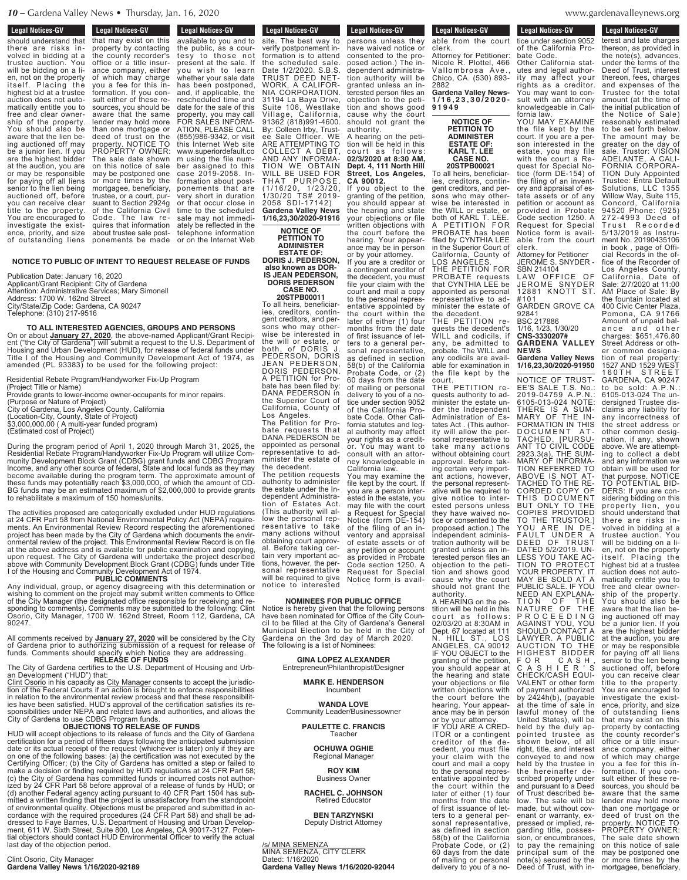### **10 –** Gardena Valley News • Thursday, Jan. 16, 2020 **www.gardenavalleynews.org** www.gardenavalleynews.org  $\cdots$ ,  $\cdots$ 10 – Gardena Valley News • Thursday, Ja  $\mathbf{B}$  can define ratio,

**Legal Notices-GV Legal Nutles-GV** should understand that there are risks involved in bidding at a trustee auction. You will be bidding on a lien, not on the property itself. Placing the highest bid at a trustee auction does not automatically entitle you to free and clear ownership of the property. You should also be aware that the lien being auctioned off may a junior lien. If you are the highest bidder at the auction, you are or may be responsible for paying off all liens senior to the lien being auctioned off, before you can receive clear title to the property. You are encouraged to investigate the existence, priority, and size of outstanding liens that may exist on this

or on the Internet Web **Legal Notices-GV** News • Thursday, la Legal Nutles-GV that may exist on this property by contacting the county recorder's office or a title insurance company, either of which may charge you a fee for this information. If you consult either of these resources, you should be aware that the same lender may hold more than one mortgage or deed of trust on the property. NOTICE TO PROPERTY OWNER: The sale date shown on this notice of sale may be postponed one or more times by the mortgagee, beneficiary, trustee, or a court, pursuant to Section 2924g of the California Civil Code. The law requires that information about trustee sale postponements be made

**Legal Notices-GV Legal Nutiles-GV** available to you and to the public, as a courtesy to those not present at the sale. If you wish to learn whether your sale date has been postponed, and, if applicable, the rescheduled time and date for the sale of this property, you may call FOR SALES INFORM-ATION, PLEASE CALL (855)986-9342, or visit this Internet Web site www.superiordefault.co m using the file number assigned to this case 2019-2058. Information about postponements that are very short in duration or that occur close in time to the scheduled sale may not immediately be reflected in the telephone information

### **NOTICE TO PUBLIC OF INTENT TO REQUEST RELEASE OF FUNDS** verify postponement in-RELEASE OF FUNDS available to you and to the public, as a cour-NOTICE TO PUBLIC OF INTENT TO REQUES NOTICE TO PUBLIC

Publication Date: January 16, 2020 Applicant/Grant Recipient: City of Gardena Attention: Administrative Services; Mary Simonell Address: 1700 W. 162nd Street City/State/Zip Code: Gardena, CA 90247 Telephone: (310) 217-9516 present at the sale. If office or a title insur- $16, 2020$ : City of Gardena Services; Mary Simonell and, if and is a positive of  $\alpha$ ena, CA 90247  $6<sub>1</sub>$ Publication Date: Janua Applicant/Grant Recipie Attention: Administrative Address: 1700 W. 162n City/State/Zip Code: Ga

#### **TO ALL INTERESTED AGENCIES, GROUPS AND PERSONS** Vi l lage, Cal ifornia, 6 AND PERSONS property, you may call TO ALL INTERESTED AGENCIES, GROU TO ALL INTERES

On or about **January 27, 2020**, the above-named Applicant/Grant Recipi-On or about <u>January 27, 2020</u>, the above-named Applicant/Grant Recipi-<br>ent ("the City of Gardena") will submit a request to the U.S. Department of Housing and Urban Development (HUD), for release of federal funds under Title I of the Housing and Community Development Act of 1974, as amended (PL 93383) to be used for the following project: the U.S. Department of e of federal funds under ment Act of 1974, as ing project: 2020, the above-name On or about <mark>January 27, 2020</mark>, the above-name<br>ent ("the City of Gardena") will submit a request lopment (HUD), for relea nd Community Devel , be used for the follo ent ("the City of Garder Housing and Urban Dev Title I of the Housing amended (PL 93383)

Residential Rebate Program/Handyworker Fix-Up Program (Project Title or Name) (Project Title or Name)<br>Provide grants to lower-income owner-occupants for minor repairs. (Purpose or Nature of Project) City of Gardena, Los Angeles County, California (Location-City, County, State of Project) \$3,000,000.00 ( A multi-year funded program) (Estimated cost of Project) minor repairs. Residential Rebate Program/Handyworker Fix-Up Provide grants to lower-income owner-occupants t ject) short in duration in duration in duration in duration in duration in duration in duration in  $\mathcal{C}(\mathcal{C})$ eles County, California ate of Project) ear funded program) ) and the reflection in the reflection in the reflection in the reflection in the reflection in the reflection in  $\mathcal{L}$ Residential Rebate Prog (Purpose or Nature of P City of Gardena, Los Ar (Location-City, County, \$3,000,000.00 ( A multi-(Estimated cost of Proje

During the program period of April 1, 2020 through March 31, 2025, the Residential Rebate Program/Handyworker Fix-Up Program will utilize Community Development Block Grant (CDBG) grant funds and CDBG Program Income, and any other source of federal, State and local funds as they may become available during the program term. The approximate amount of these funds may potentially reach \$3,000,000, of which the amount of CD-BG funds may be an estimated maximum of \$2,000,000 to provide grants to rehabilitate a maximum of 150 homes/units. od of April 1, 2020 thro am/Handyworker Fix-Up k Grant (CDBG) grant f urce of federal, State an the program term. The lly reach \$3,000,000, of mated maximum of \$2, During the program pe Residential Rebate Prog munity Development Bl Income, and any other s become available durir these funds may potent BG funds may be an ea

The activities proposed are categorically excluded under HUD regulations at 24 CFR Part 58 from National Environmental Policy Act (NEPA) requirements. An Environmental Review Record respecting the aforementioned project has been made by the City of Gardena which documents the environmental review of the project. This Environmental Review Record is on file at the above address and is available for public examination and copying, upon request. The City of Gardena will undertake the project described above with Community Development Block Grant (CDBG) funds under Title I of the Housing and Community Development Act of 1974. **PUBLIC COMMENTS** re categorically exclude ational Environmental F r the City of Gardena wł bject. This Environmenta l is available for public of Gardena will underta velopment Block Grant munity Development Ac The activities proposed at 24 CFR Part 58 from project has been made onmental review of the at the above address a upon request. The City above with Community I of the Housing and Co

Any individual, group, or agency disagreeing with this determination or wishing to comment on the project may submit written comments to Office of the City Manager (the designated office responsible for receiving and responding to comments). Comments may be submitted to the following: Clint Osorio, City Manager, 1700 W. 162nd Street, Room 112, Gardena, CA 90247. **PUBLIC COMMENTS** ıe project may submit w lesignated office respon omments may be subm' 2058 SDI-17142) **Gardena Valley News** ber assigned to this wishing to comment on of the City Manager (the sponding to comments) Osorio, City Manager,

All comments received by **January 27, 2020** will be considered by the City<br>of Gardena prior to authorizing submission of a request for release of<br>funds. Comments should specify which Notice they are addressing.<br>**RELEASE OF 1/16,23,30/2020-91916** sale may not immedi-All comments received<br>of Gardena prior to at<br>funds. Comments sho

The City of Gardena certifies to the U.S. Department of Housing and Urb-The City of Gardena certifies t<br>an Development ("HUD") that: an Development ("HUD

Clint Osorio in his capacity as City Manager consents to accept the jurisdic-<u>Clint Osorio</u> in his capacity as <u>City Manager</u> consents to accept the jurisdic-<br>tion of the Federal Courts if an action is brought to enforce responsibilities in relation to the environmental review process and that these responsibilitin relation to the environmental review process and that these responsibilit-<br>ies have been satisfied. HUD's approval of the certification satisfies its responsibilities under NEPA and related laws and authorities, and allows the sponsibilities under NEPA and related laws an<br>City of Gardena to use CDBG Program funds. tion of the Federal Cour ies have been satisfied City of Gardena to use

**OBJECTIONS TO RELEASE OF FUNDS**

HUD will accept objections to its release of funds and the City of Gardena certification for a period of fifteen days following the anticipated submission date or its actual receipt of the request (whichever is later) only if they are on one of the following bases: (a) the certification was not executed by the Certifying Officer; (b) the City of Gardena has omitted a step or failed to make a decision or finding required by HUD regulations at 24 CFR Part 58; (c) the City of Gardena has committed funds or incurred costs not authorized by 24 CFR Part 58 before approval of a release of funds by HUD; or (d) another Federal agency acting pursuant to 40 CFR Part 1504 has submitted a written finding that the project is unsatisfactory from the standpoint of environmental quality. Objections must be prepared and submitted in accordance with the required procedures (24 CFR Part 58) and shall be addressed to Faye Barnes, U.S. Department of Housing and Urban Develop-ment, 611 W. Sixth Street, Suite 800, Los Angeles, CA 90017-3127. Potential objectors should contact HUD Environmental Officer to verify the actual last day of the objection period. Suite 106, Westland and Suite 106, Westland and Suite 106, Westland and Suite 106, Westland and Suite 106, Wes HUD will accept objecti certification for a period date or its actual receip on one of the following Certifying Officer; (b) tl make a decision or findi (c) the City of Gardena ized by 24 CFR Part 58 (d) another Federal age mitted a written finding t of environmental quality cordance with the requ dressed to Faye Barnes<br>ment, 611 W. Sixth Stre tial objectors should cor

# Clint Osorio, City Manager **Gardena Valley News 1/16/2020-92189**

consented to the proposed action.) The interested person files an objection to the peti-**Legal Notices-GV** Legal Nutles-GV site. The best way to verify postponement information is to attend the scheduled sale. Date 1/2/2020. S.B.S. TRUST DEED NET-WORK, A CALIFOR-NIA CORPORATION. 31194 La Baya Drive, Suite 106, Westlake Village, California, 91362 (818)991-4600. By: Colleen Irby, Trustee Sale Officer. WE ARE ATTEMPTING TO COLLECT A DEBT, AND ANY INFORMA-TION WE OBTAIN WILL BE USED FOR THAT PURPOSE. (1/16/20, 1/23/20, 1/30/20 TS# 2019- 2058 SDI-17142)

**Gardena Valley News 1/16,23,30/2020-91916 NOTICE OF**

**PETITION TO ADMINISTER ESTATE OF: DORIS J. PEDERSON, also known as DOR-**

**IS JEAN PEDERSON, DORIS PEDERSON CASE NO.**

**20STPB00011** To all heirs, beneficiaries, creditors, contingent creditors, and persons who may otherwise be interested in the will or estate, or both, of DORIS J. PEDERSON, DORIS JEAN PEDERSON, DORIS PEDERSON. A PETITION for Probate has been filed by: DANA PEDERSON in the Superior Court of California, County of Los Angeles.

The Petition for Probate requests that DANA PEDERSON be appointed as personal representative to administer the estate of the decedent.

The petition requests authority to administer the estate under the Independent Administration of Estates Act. (This authority will allow the personal representative to take many actions without obtaining court approval. Before taking certain very important actions, however, the personal representative will be required to give notice to interested persons unless they

# **NOMINEES FOR PUBLIC OFFICE** clerk. NOMINEES FOR PUBLIC OFFICE

Notice is hereby given that the following persons Notice is hereby given that the following persons<br>have been nominated for Office of the City Council to be filled at the City of Gardena's General cil to be filled at the City of Gardena's General<br>Municipal Election to be held in the City of Gardena on the 3rd day of March 2020. The following is a list of Nominees: have been nominated fo Municipal Election to

**GINA LOPEZ ALEXANDER 9 1 9 4 9** tion and shows good Entrepreneur/Philanthropist/Designer

**MARK E. HENDERSON Incumbent** should not grant the

**WANDA LOVE** Community Leader/Businessowner **02/3/2020 at 8:30 AM, Dept. 4, 111 North Hill**

**PAULETTE C. FRANCIS Street, Los Angeles,** Teacher

**OCHUWA OGHIE** Regional Manager  $\mathbf{t}$ 

**ROY KIM Business Owner** 

**RACHEL C. JOHNSON** Retired Educator

**BEN TARZYNSKI** Deputy District Attorney the decedent, you must

/s/ MINA SEMENZA\_\_\_\_\_\_\_\_\_ MINA SEMENZA, CITY CLERK Dated: 1/16/2020 Gardena Valley News 1/16/2020-92044 /s/ MINA SEMENZA MINA SEMENZA, CITY

# **Legal Notices-GV**

bate Code. Legal Notices-GV able from the court<br>clerk. clerk. Attorney for Petitioner: Nicole R. Plottel, 466 Val lombrosa Ave.,

2882 **Gardena Valley News-1 / 1 6 , 2 3 , 3 0 / 2 0 2 0 - 9 1 9 4 9**

Chico, CA. (530) 893-

fornia law.

clerk.

#101

92841 BSC 217886

**NEWS**

**Gardena Valley News 1/16,23,30/2020-91950** NOTICE OF TRUST-EE'S SALE T.S. No.: 2019-04759 A.P.N.: 6105-013-024 NOTE: THERE IS A SUM-MARY OF THE IN-FORMATION IN THIS DOCUMENT AT-TACHED. [PURSU-ANT TO CIVIL CODE 2923.3(a), THE SUM-MARY OF INFORMA-TION REFERRED TO ABOVE IS NOT AT-TACHED TO THE RE-CORDED COPY OF THIS DOCUMENT BUT ONLY TO THE COPIES PROVIDED TO THE TRUSTOR.] YOU ARE IN DE-FAULT UNDER A DEED OF TRUST DATED 5/2/2019. UN-LESS YOU TAKE AC-TION TO PROTECT YOUR PROPERTY, IT MAY BE SOLD AT A PUBLIC SALE. IF YOU NEED AN EXPLANA-TION OF THE NATURE OF THE P R O C E E D I N G AGAINST YOU, YOU SHOULD CONTACT A LAWYER. A PUBLIC AUCTION TO THE HIGHEST BIDDER F O R C A S H , C A S H I E R ' S CHECK/CASH EQUI-VALENT or other form of payment authorized by 2424h(b), (payable at the time of sale in lawful money of the United States), will be held by the duly appointed trustee as shown below, of all right, title, and interest conveyed to and now held by the trustee in the hereinafter described property under and pursuant to a Deed of Trust described below. The sale will be made, but without covenant or warranty, expressed or implied, regarding title, possession, or encumbrances, to pay the remaining principal sum of the note(s) secured by the Deed of Trust, with in-<br>

SBN 214104

**NOTICE OF PETITION TO ADMINISTER ESTATE OF: KARL T. LEE CASE NO. 20STPB00021**

To all heirs, beneficiaries, creditors, contingent creditors, and persons who may otherwise be interested in the WILL or estate, or both of KARL T. LEE. A PETITION FOR PROBATE has been filed by CYNTHIA LEE in the Superior Court of California, County of LOS ANGELES. THE PETITION FOR PROBATE requests that CYNTHIA LEE be

appointed as personal representative to administer the estate of the decedent THE PETITION re-

quests the decedent's WILL and codicils, if any, be admitted to probate. The WILL and any codicils are available for examination in the file kept by the court.

THE PETITION requests authority to administer the estate under the Independent Administration of Estates Act . (This authority will allow the peronal representative to take many actions without obtaining court approval. Before takcertain very important actions, however, the personal representative will be required to give notice to interested persons unless they have waived notice or consented to the proposed action.) The independent administration authority will be granted unless an interested person files an objection to the petition and shows good cause why the court should not grant the authority. A HEARING on the pe-

tition will be held in this court as follows: 02/03/20 at 8:30AM in Dept. 67 located at 111 N. HILL ST., LOS ANGELES, CA 90012 IF YOU OBJECT to the granting of the petition, you should appear at the hearing and state your objections or file written objections with the court before the hearing. Your appearance may be in person

or by your attorney. IF YOU ARE A CRED-ITOR or a contingent creditor of the decedent, you must file your claim with the court and mail a copy to the personal representative appointed by the court within the later of either (1) four months from the date of first issuance of letters to a general personal representative, as defined in section 58(b) of the California Probate Code, or (2) 60 days from the date of mailing or personal delivery to you of a no-

denavalleynews.org www.gardenavalleynews.org

**Legal Notices-GV Legal Nutries-GV** terest and late charges thereon, as provided in the note(s), advances, under the terms of the Deed of Trust, interest thereon, fees, charges and expenses of the Trustee for the total amount (at the time of the initial publication of the Notice of Sale) reasonably estimated to be set forth below. The amount may be greater on the day of sale. Trustor: VISION ADELANTE, A CALI-FORNIA CORPORA-TION Duly Appointed Trustee: Entra Default Solutions, LLC 1355 Willow Way, Suite 115, Concord, California 94520 Phone: (925) 272-4993 Deed of Trust Recorded Erricht Recorded<br>5/13/2019 as Instrument No. 20190435106 in book , page of Official Records in the office of the Recorder of Los Angeles County, California, Date of Sale: 2/7/2020 at 11:00 AM Place of Sale: By **Legal Notices-GV**  $\ldots \ldots$ <sub>o</sub>. Legal Nutrices-GV tice under section 9052 of the California Pro-Other California statutes and legal authority may affect your rights as a creditor. You may want to consult with an attorney knowledgeable in Cali-YOU MAY EXAMINE the file kept by the court. If you are a person interested in the estate, you may file with the court a Request for Special Notice (form DE-154) of the filing of an inventory and appraisal of estate assets or of any petition or account as provided in Probate Code section 1250. A Request for Special Notice form is available from the court Attorney for Petitioner JEROME S. SNYDER - LAW OFFICE OF JEROME SNYDER 12881 KNOTT ST. GARDEN GROVE CA 1/16, 1/23, 1/30/20 **CNS-3330207# GARDENA VALLEY**

the fountain located at 400 Civic Center Plaza, Pomona, CA 91766 Amount of unpaid balance and other charges: \$651,476.80 Street Address or other common designation of real property: 1527 AND 1529 WEST 160TH STREET GARDENA, CA 90247 to be sold: A.P.N.: 6105-013-024 The undersigned Trustee disclaims any liability for any incorrectness of the street address or other common designation, if any, shown above. We are attempting to collect a debt and any information we obtain will be used for that purpose. NOTICE TO POTENTIAL BID-DERS: If you are considering bidding on this property lien, you should understand that there are risks involved in bidding at a trustee auction. You will be bidding on a lien, not on the property itself. Placing the highest bid at a trustee auction does not automatically entitle you to free and clear ownership of the property. You should also be aware that the lien being auctioned off may be a junior lien. If you are the highest bidder at the auction, you are or may be responsible for paying off all liens senior to the lien being auctioned off, before you can receive clear title to the property. You are encouraged to investigate the existence, priority, and size of outstanding liens that may exist on this property by contacting the county recorder's office or a title insurance company, either of which may charge of which may charge<br>you a fee for this information. If you consult either of these resources, you should be aware that the same lender may hold more than one mortgage or deed of trust on the property. NOTICE TO PROPERTY OWNER: The sale date shown on this notice of sale may be postponed one<br>or more times by the

mortgagee, beneficiary,

# cause why the court should not grant the authority. A hearing on the petition will be held in this c o u rt a s f o l l o w s : **02/3/2020 at 8:30 AM, Dept. 4, 111 North Hill Street, Los Angeles, CA 90012.** If you object to the granting of the petition,

**Legal Notices-GV** Legal Nutrices-GV persons unless they have waived notice or

dependent administration authority will be granted unless an in-

tion and shows good

you should appear at the hearing and state your objections or file written objections with the court before the hearing. Your appearance may be in person or by your attorney.

If you are a creditor or a contingent creditor of the decedent, you must file your claim with the court and mail a copy to the personal representative appointed by the court within the later of either (1) four months from the date of first issuance of letters to a general personal representative, as defined in section 58(b) of the California Probate Code, or (2) 60 days from the date of mailing or personal delivery to you of a notice under section 9052 of the California Probate Code. Other California statutes and legal authority may affect your rights as a creditor. You may want to

ney knowledgeable in You may examine the file kept by the court. If you are a person interested in the estate, you may file with the court a Request for Special Notice (form DE-154) of the filing of an inventory and appraisal of estate assets or of any petition or account as provided in Probate Code section 1250. A Request for Special Notice form is avail-

able from the court

consult with an attor-California law.